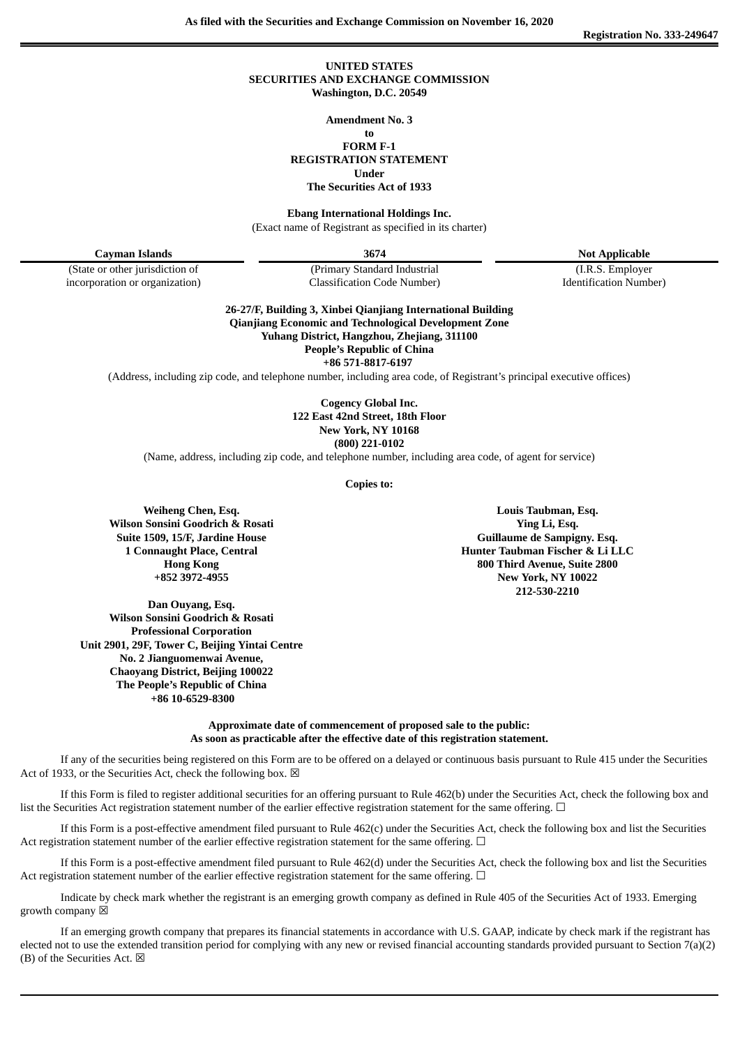**As filed with the Securities and Exchange Commission on November 16, 2020**

**Registration No. 333-249647**

### **UNITED STATES SECURITIES AND EXCHANGE COMMISSION Washington, D.C. 20549**

**Amendment No. 3**

#### **to FORM F-1**

**REGISTRATION STATEMENT**

**Under**

**The Securities Act of 1933**

**Ebang International Holdings Inc.**

(Exact name of Registrant as specified in its charter)

**Cayman Islands 3674 Not Applicable**

incorporation or organization) Classification Code Number) Identification Number)

(State or other jurisdiction of (Primary Standard Industrial (I.R.S. Employer

**26-27/F, Building 3, Xinbei Qianjiang International Building Qianjiang Economic and Technological Development Zone Yuhang District, Hangzhou, Zhejiang, 311100 People's Republic of China +86 571-8817-6197**

(Address, including zip code, and telephone number, including area code, of Registrant's principal executive offices)

**Cogency Global Inc. 122 East 42nd Street, 18th Floor New York, NY 10168 (800) 221-0102**

(Name, address, including zip code, and telephone number, including area code, of agent for service)

**Copies to:**

**Weiheng Chen, Esq. Wilson Sonsini Goodrich & Rosati Suite 1509, 15/F, Jardine House 1 Connaught Place, Central Hong Kong +852 3972-4955**

**Dan Ouyang, Esq. Wilson Sonsini Goodrich & Rosati Professional Corporation Unit 2901, 29F, Tower C, Beijing Yintai Centre No. 2 Jianguomenwai Avenue, Chaoyang District, Beijing 100022 The People's Republic of China +86 10-6529-8300**

**Louis Taubman, Esq. Ying Li, Esq. Guillaume de Sampigny. Esq. Hunter Taubman Fischer & Li LLC 800 Third Avenue, Suite 2800 New York, NY 10022 212-530-2210**

**Approximate date of commencement of proposed sale to the public: As soon as practicable after the effective date of this registration statement.**

If any of the securities being registered on this Form are to be offered on a delayed or continuous basis pursuant to Rule 415 under the Securities Act of 1933, or the Securities Act, check the following box.  $\boxtimes$ 

If this Form is filed to register additional securities for an offering pursuant to Rule 462(b) under the Securities Act, check the following box and list the Securities Act registration statement number of the earlier effective registration statement for the same offering. □

If this Form is a post-effective amendment filed pursuant to Rule 462(c) under the Securities Act, check the following box and list the Securities Act registration statement number of the earlier effective registration statement for the same offering.  $\Box$ 

If this Form is a post-effective amendment filed pursuant to Rule 462(d) under the Securities Act, check the following box and list the Securities Act registration statement number of the earlier effective registration statement for the same offering. □

Indicate by check mark whether the registrant is an emerging growth company as defined in Rule 405 of the Securities Act of 1933. Emerging growth company  $\boxtimes$ 

If an emerging growth company that prepares its financial statements in accordance with U.S. GAAP, indicate by check mark if the registrant has elected not to use the extended transition period for complying with any new or revised financial accounting standards provided pursuant to Section 7(a)(2) (B) of the Securities Act.  $\boxtimes$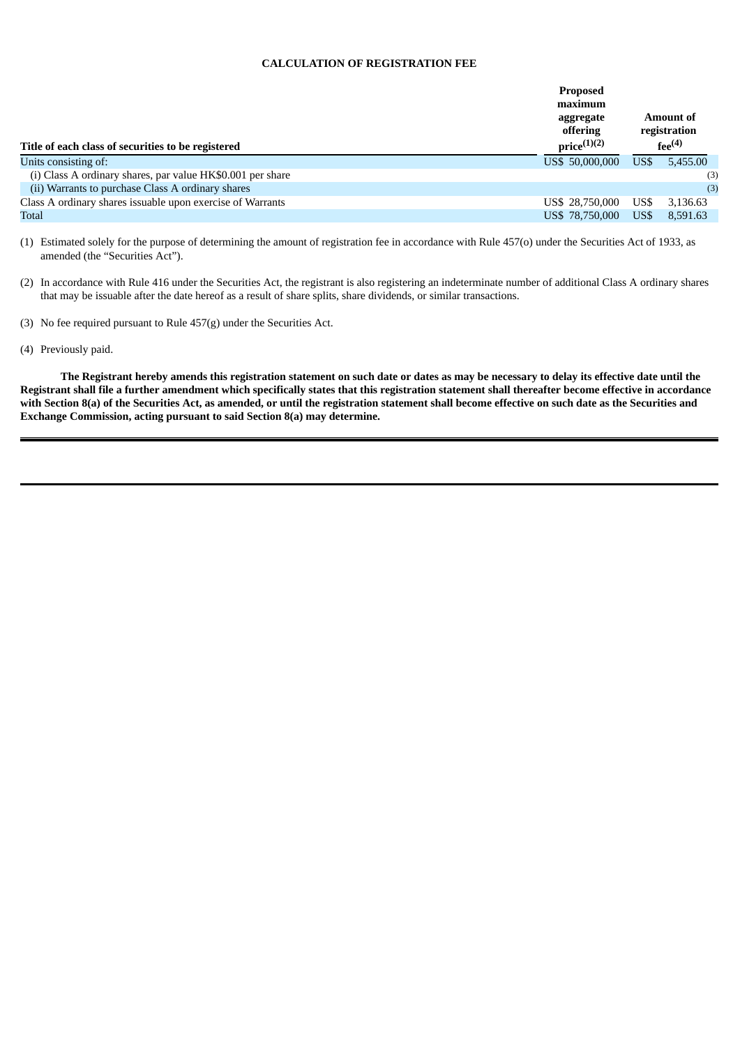### **CALCULATION OF REGISTRATION FEE**

| Title of each class of securities to be registered         | <b>Proposed</b><br>maximum<br>aggregate<br>offering<br>$price^{(1)(2)}$ | Amount of<br>registration<br>$f_{\mathsf{PP}}^{(4)}$ |          |
|------------------------------------------------------------|-------------------------------------------------------------------------|------------------------------------------------------|----------|
| Units consisting of:                                       | US\$ 50,000,000                                                         | US\$                                                 | 5,455.00 |
| (i) Class A ordinary shares, par value HK\$0.001 per share |                                                                         |                                                      | (3)      |
| (ii) Warrants to purchase Class A ordinary shares          |                                                                         |                                                      | (3)      |
| Class A ordinary shares issuable upon exercise of Warrants | US\$ 28,750,000                                                         | US\$                                                 | 3,136.63 |
| Total                                                      | US\$ 78,750,000                                                         | US\$                                                 | 8.591.63 |

(1) Estimated solely for the purpose of determining the amount of registration fee in accordance with Rule 457(o) under the Securities Act of 1933, as amended (the "Securities Act").

(2) In accordance with Rule 416 under the Securities Act, the registrant is also registering an indeterminate number of additional Class A ordinary shares that may be issuable after the date hereof as a result of share splits, share dividends, or similar transactions.

(3) No fee required pursuant to Rule 457(g) under the Securities Act.

(4) Previously paid.

The Registrant hereby amends this registration statement on such date or dates as may be necessary to delay its effective date until the Registrant shall file a further amendment which specifically states that this registration statement shall thereafter become effective in accordance with Section 8(a) of the Securities Act, as amended, or until the registration statement shall become effective on such date as the Securities and **Exchange Commission, acting pursuant to said Section 8(a) may determine.**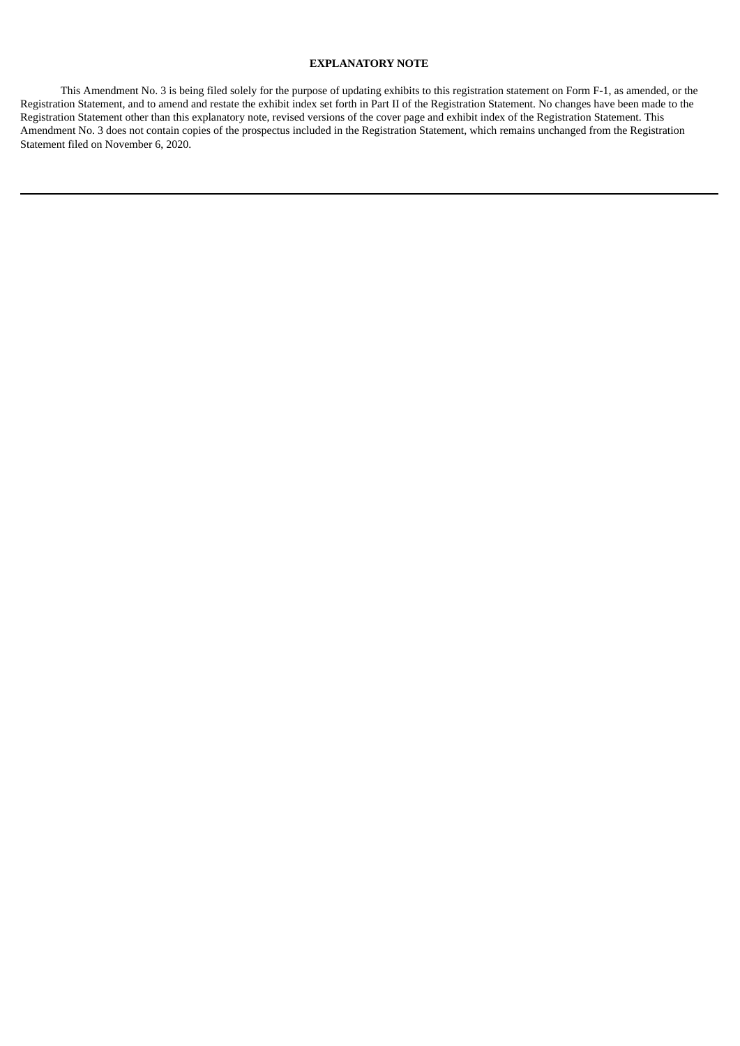# **EXPLANATORY NOTE**

This Amendment No. 3 is being filed solely for the purpose of updating exhibits to this registration statement on Form F-1, as amended, or the Registration Statement, and to amend and restate the exhibit index set forth in Part II of the Registration Statement. No changes have been made to the Registration Statement other than this explanatory note, revised versions of the cover page and exhibit index of the Registration Statement. This Amendment No. 3 does not contain copies of the prospectus included in the Registration Statement, which remains unchanged from the Registration Statement filed on November 6, 2020.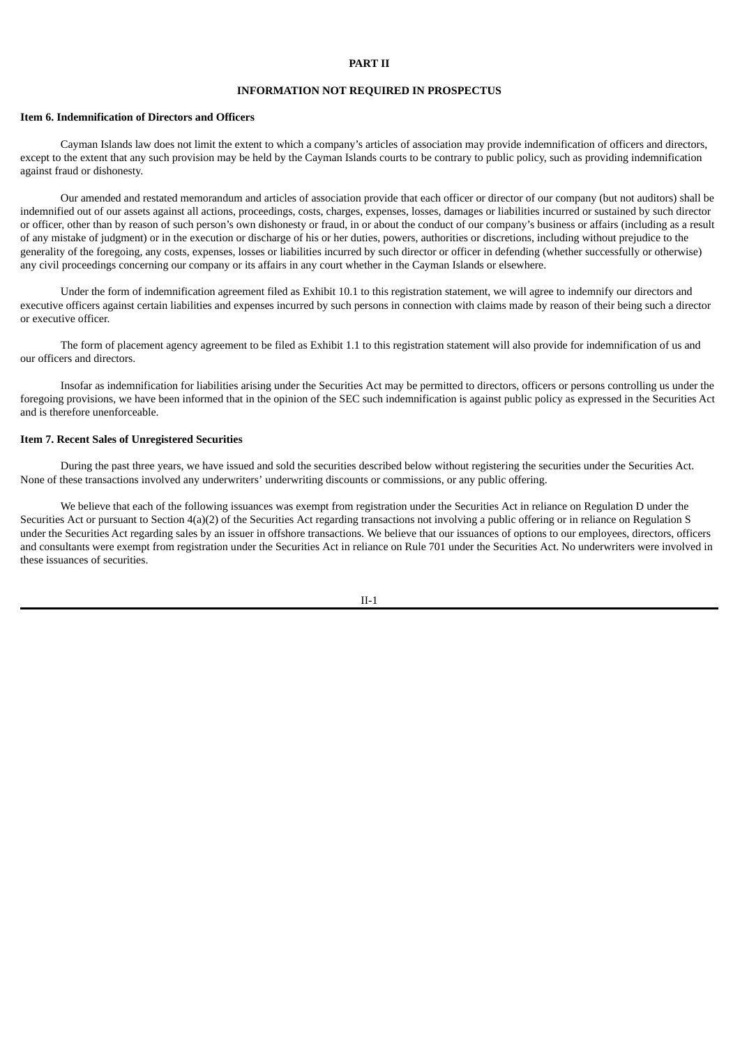## **PART II**

# **INFORMATION NOT REQUIRED IN PROSPECTUS**

#### **Item 6. Indemnification of Directors and Officers**

Cayman Islands law does not limit the extent to which a company's articles of association may provide indemnification of officers and directors, except to the extent that any such provision may be held by the Cayman Islands courts to be contrary to public policy, such as providing indemnification against fraud or dishonesty.

Our amended and restated memorandum and articles of association provide that each officer or director of our company (but not auditors) shall be indemnified out of our assets against all actions, proceedings, costs, charges, expenses, losses, damages or liabilities incurred or sustained by such director or officer, other than by reason of such person's own dishonesty or fraud, in or about the conduct of our company's business or affairs (including as a result of any mistake of judgment) or in the execution or discharge of his or her duties, powers, authorities or discretions, including without prejudice to the generality of the foregoing, any costs, expenses, losses or liabilities incurred by such director or officer in defending (whether successfully or otherwise) any civil proceedings concerning our company or its affairs in any court whether in the Cayman Islands or elsewhere.

Under the form of indemnification agreement filed as Exhibit 10.1 to this registration statement, we will agree to indemnify our directors and executive officers against certain liabilities and expenses incurred by such persons in connection with claims made by reason of their being such a director or executive officer.

The form of placement agency agreement to be filed as Exhibit 1.1 to this registration statement will also provide for indemnification of us and our officers and directors.

Insofar as indemnification for liabilities arising under the Securities Act may be permitted to directors, officers or persons controlling us under the foregoing provisions, we have been informed that in the opinion of the SEC such indemnification is against public policy as expressed in the Securities Act and is therefore unenforceable.

### **Item 7. Recent Sales of Unregistered Securities**

During the past three years, we have issued and sold the securities described below without registering the securities under the Securities Act. None of these transactions involved any underwriters' underwriting discounts or commissions, or any public offering.

We believe that each of the following issuances was exempt from registration under the Securities Act in reliance on Regulation D under the Securities Act or pursuant to Section 4(a)(2) of the Securities Act regarding transactions not involving a public offering or in reliance on Regulation S under the Securities Act regarding sales by an issuer in offshore transactions. We believe that our issuances of options to our employees, directors, officers and consultants were exempt from registration under the Securities Act in reliance on Rule 701 under the Securities Act. No underwriters were involved in these issuances of securities.

II-1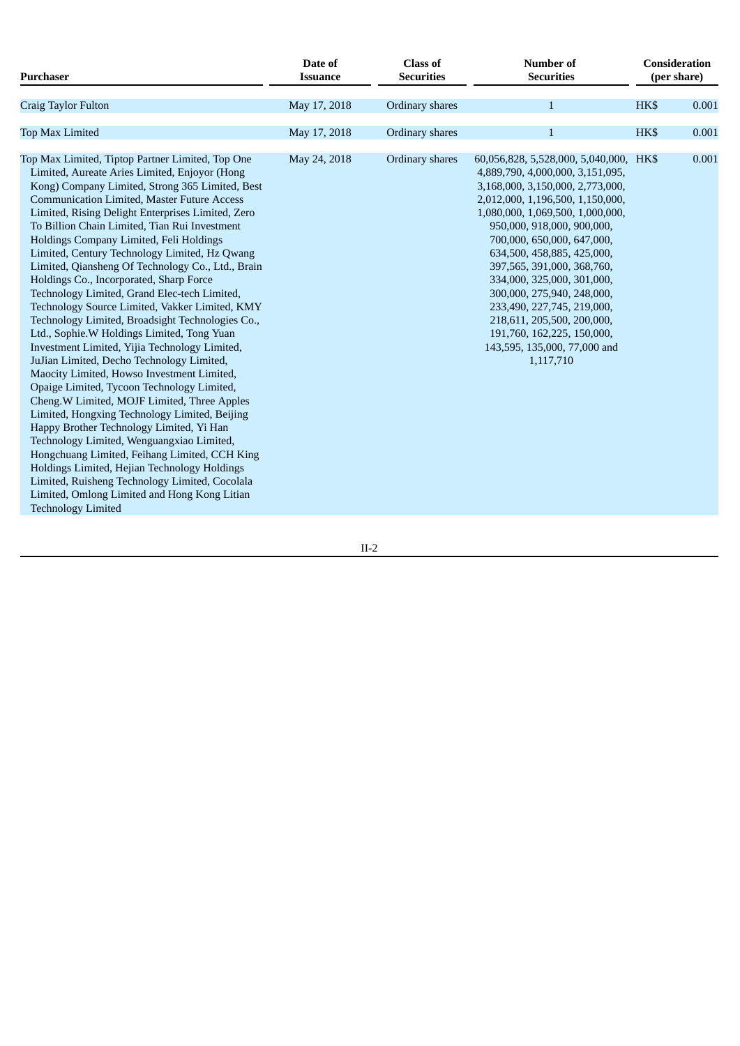| <b>Purchaser</b>                                                                                                                                                                                                                                                                                                                                                                                                                                                                                                                                                                                                                                                                                                                                                                                                                                                                                                                                                                                                                                                                                                                                                                                                                                                                                                                    | Date of<br><b>Issuance</b> | <b>Class of</b><br><b>Securities</b> | Number of<br><b>Securities</b>                                                                                                                                                                                                                                                                                                                                                                                                                                                                                    | Consideration<br>(per share) |       |
|-------------------------------------------------------------------------------------------------------------------------------------------------------------------------------------------------------------------------------------------------------------------------------------------------------------------------------------------------------------------------------------------------------------------------------------------------------------------------------------------------------------------------------------------------------------------------------------------------------------------------------------------------------------------------------------------------------------------------------------------------------------------------------------------------------------------------------------------------------------------------------------------------------------------------------------------------------------------------------------------------------------------------------------------------------------------------------------------------------------------------------------------------------------------------------------------------------------------------------------------------------------------------------------------------------------------------------------|----------------------------|--------------------------------------|-------------------------------------------------------------------------------------------------------------------------------------------------------------------------------------------------------------------------------------------------------------------------------------------------------------------------------------------------------------------------------------------------------------------------------------------------------------------------------------------------------------------|------------------------------|-------|
| Craig Taylor Fulton                                                                                                                                                                                                                                                                                                                                                                                                                                                                                                                                                                                                                                                                                                                                                                                                                                                                                                                                                                                                                                                                                                                                                                                                                                                                                                                 | May 17, 2018               | Ordinary shares                      | $\mathbf{1}$                                                                                                                                                                                                                                                                                                                                                                                                                                                                                                      | HK\$                         | 0.001 |
| <b>Top Max Limited</b>                                                                                                                                                                                                                                                                                                                                                                                                                                                                                                                                                                                                                                                                                                                                                                                                                                                                                                                                                                                                                                                                                                                                                                                                                                                                                                              | May 17, 2018               | Ordinary shares                      | $\mathbf{1}$                                                                                                                                                                                                                                                                                                                                                                                                                                                                                                      | HK\$                         | 0.001 |
| Top Max Limited, Tiptop Partner Limited, Top One<br>Limited, Aureate Aries Limited, Enjoyor (Hong<br>Kong) Company Limited, Strong 365 Limited, Best<br><b>Communication Limited, Master Future Access</b><br>Limited, Rising Delight Enterprises Limited, Zero<br>To Billion Chain Limited, Tian Rui Investment<br>Holdings Company Limited, Feli Holdings<br>Limited, Century Technology Limited, Hz Qwang<br>Limited, Qiansheng Of Technology Co., Ltd., Brain<br>Holdings Co., Incorporated, Sharp Force<br>Technology Limited, Grand Elec-tech Limited,<br>Technology Source Limited, Vakker Limited, KMY<br>Technology Limited, Broadsight Technologies Co.,<br>Ltd., Sophie.W Holdings Limited, Tong Yuan<br>Investment Limited, Yijia Technology Limited,<br>JuJian Limited, Decho Technology Limited,<br>Maocity Limited, Howso Investment Limited,<br>Opaige Limited, Tycoon Technology Limited,<br>Cheng.W Limited, MOJF Limited, Three Apples<br>Limited, Hongxing Technology Limited, Beijing<br>Happy Brother Technology Limited, Yi Han<br>Technology Limited, Wenguangxiao Limited,<br>Hongchuang Limited, Feihang Limited, CCH King<br>Holdings Limited, Hejian Technology Holdings<br>Limited, Ruisheng Technology Limited, Cocolala<br>Limited, Omlong Limited and Hong Kong Litian<br><b>Technology Limited</b> | May 24, 2018               | Ordinary shares                      | 60,056,828, 5,528,000, 5,040,000, HK\$<br>4,889,790, 4,000,000, 3,151,095,<br>3,168,000, 3,150,000, 2,773,000,<br>2,012,000, 1,196,500, 1,150,000,<br>1,080,000, 1,069,500, 1,000,000,<br>950,000, 918,000, 900,000,<br>700,000, 650,000, 647,000,<br>634,500, 458,885, 425,000,<br>397,565, 391,000, 368,760,<br>334,000, 325,000, 301,000,<br>300,000, 275,940, 248,000,<br>233,490, 227,745, 219,000,<br>218,611, 205,500, 200,000,<br>191,760, 162,225, 150,000,<br>143,595, 135,000, 77,000 and<br>1,117,710 |                              | 0.001 |

II-2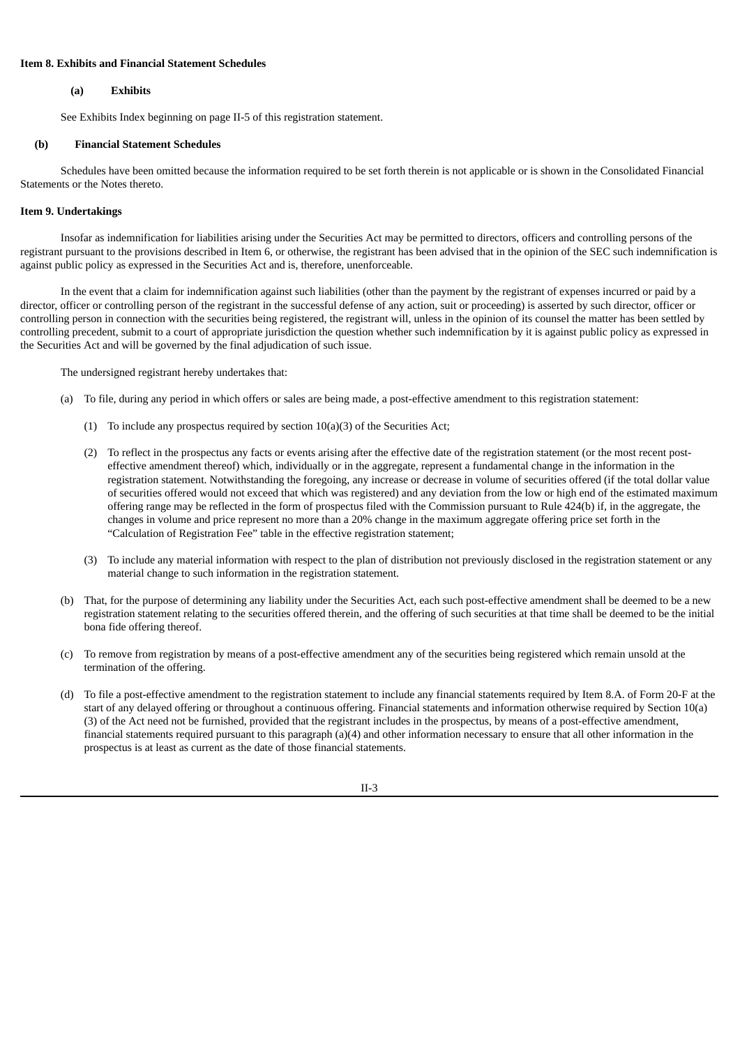# **Item 8. Exhibits and Financial Statement Schedules**

### **(a) Exhibits**

See Exhibits Index beginning on page II-5 of this registration statement.

### **(b) Financial Statement Schedules**

Schedules have been omitted because the information required to be set forth therein is not applicable or is shown in the Consolidated Financial Statements or the Notes thereto.

#### **Item 9. Undertakings**

Insofar as indemnification for liabilities arising under the Securities Act may be permitted to directors, officers and controlling persons of the registrant pursuant to the provisions described in Item 6, or otherwise, the registrant has been advised that in the opinion of the SEC such indemnification is against public policy as expressed in the Securities Act and is, therefore, unenforceable.

In the event that a claim for indemnification against such liabilities (other than the payment by the registrant of expenses incurred or paid by a director, officer or controlling person of the registrant in the successful defense of any action, suit or proceeding) is asserted by such director, officer or controlling person in connection with the securities being registered, the registrant will, unless in the opinion of its counsel the matter has been settled by controlling precedent, submit to a court of appropriate jurisdiction the question whether such indemnification by it is against public policy as expressed in the Securities Act and will be governed by the final adjudication of such issue.

The undersigned registrant hereby undertakes that:

- (a) To file, during any period in which offers or sales are being made, a post-effective amendment to this registration statement:
	- (1) To include any prospectus required by section 10(a)(3) of the Securities Act;
	- (2) To reflect in the prospectus any facts or events arising after the effective date of the registration statement (or the most recent posteffective amendment thereof) which, individually or in the aggregate, represent a fundamental change in the information in the registration statement. Notwithstanding the foregoing, any increase or decrease in volume of securities offered (if the total dollar value of securities offered would not exceed that which was registered) and any deviation from the low or high end of the estimated maximum offering range may be reflected in the form of prospectus filed with the Commission pursuant to Rule 424(b) if, in the aggregate, the changes in volume and price represent no more than a 20% change in the maximum aggregate offering price set forth in the "Calculation of Registration Fee" table in the effective registration statement;
	- (3) To include any material information with respect to the plan of distribution not previously disclosed in the registration statement or any material change to such information in the registration statement.
- (b) That, for the purpose of determining any liability under the Securities Act, each such post-effective amendment shall be deemed to be a new registration statement relating to the securities offered therein, and the offering of such securities at that time shall be deemed to be the initial bona fide offering thereof.
- (c) To remove from registration by means of a post-effective amendment any of the securities being registered which remain unsold at the termination of the offering.
- (d) To file a post-effective amendment to the registration statement to include any financial statements required by Item 8.A. of Form 20-F at the start of any delayed offering or throughout a continuous offering. Financial statements and information otherwise required by Section 10(a) (3) of the Act need not be furnished, provided that the registrant includes in the prospectus, by means of a post-effective amendment, financial statements required pursuant to this paragraph (a)(4) and other information necessary to ensure that all other information in the prospectus is at least as current as the date of those financial statements.

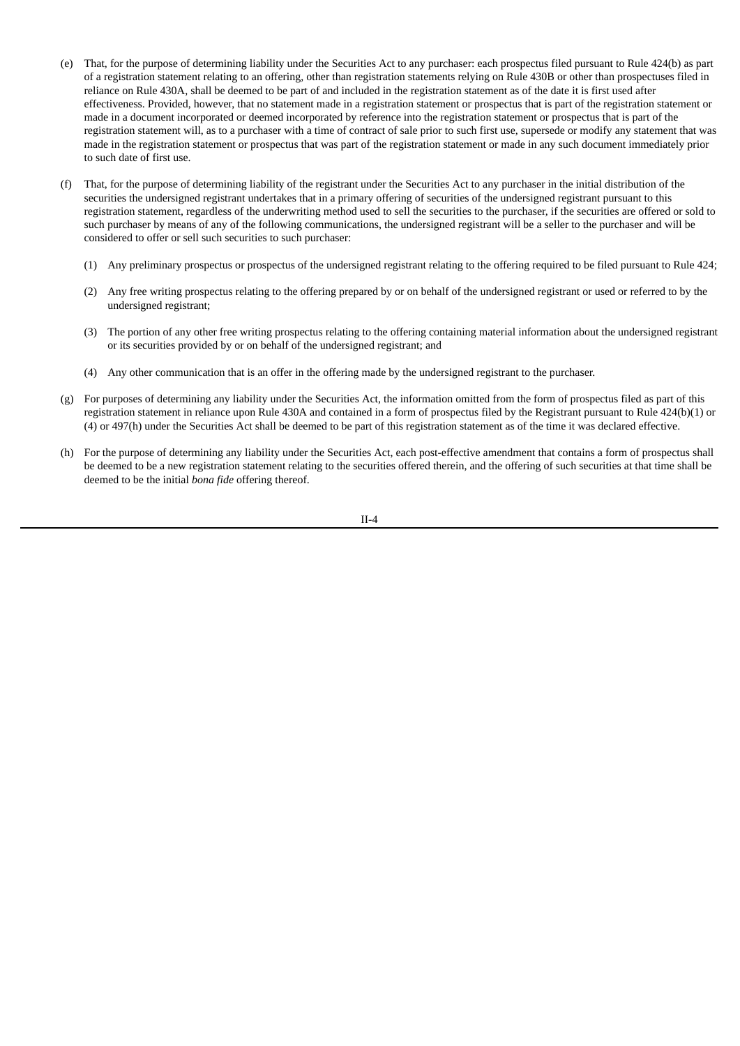- (e) That, for the purpose of determining liability under the Securities Act to any purchaser: each prospectus filed pursuant to Rule 424(b) as part of a registration statement relating to an offering, other than registration statements relying on Rule 430B or other than prospectuses filed in reliance on Rule 430A, shall be deemed to be part of and included in the registration statement as of the date it is first used after effectiveness. Provided, however, that no statement made in a registration statement or prospectus that is part of the registration statement or made in a document incorporated or deemed incorporated by reference into the registration statement or prospectus that is part of the registration statement will, as to a purchaser with a time of contract of sale prior to such first use, supersede or modify any statement that was made in the registration statement or prospectus that was part of the registration statement or made in any such document immediately prior to such date of first use.
- That, for the purpose of determining liability of the registrant under the Securities Act to any purchaser in the initial distribution of the securities the undersigned registrant undertakes that in a primary offering of securities of the undersigned registrant pursuant to this registration statement, regardless of the underwriting method used to sell the securities to the purchaser, if the securities are offered or sold to such purchaser by means of any of the following communications, the undersigned registrant will be a seller to the purchaser and will be considered to offer or sell such securities to such purchaser:
	- (1) Any preliminary prospectus or prospectus of the undersigned registrant relating to the offering required to be filed pursuant to Rule 424;
	- (2) Any free writing prospectus relating to the offering prepared by or on behalf of the undersigned registrant or used or referred to by the undersigned registrant;
	- (3) The portion of any other free writing prospectus relating to the offering containing material information about the undersigned registrant or its securities provided by or on behalf of the undersigned registrant; and
	- (4) Any other communication that is an offer in the offering made by the undersigned registrant to the purchaser.
- (g) For purposes of determining any liability under the Securities Act, the information omitted from the form of prospectus filed as part of this registration statement in reliance upon Rule 430A and contained in a form of prospectus filed by the Registrant pursuant to Rule 424(b)(1) or (4) or 497(h) under the Securities Act shall be deemed to be part of this registration statement as of the time it was declared effective.
- (h) For the purpose of determining any liability under the Securities Act, each post-effective amendment that contains a form of prospectus shall be deemed to be a new registration statement relating to the securities offered therein, and the offering of such securities at that time shall be deemed to be the initial *bona fide* offering thereof.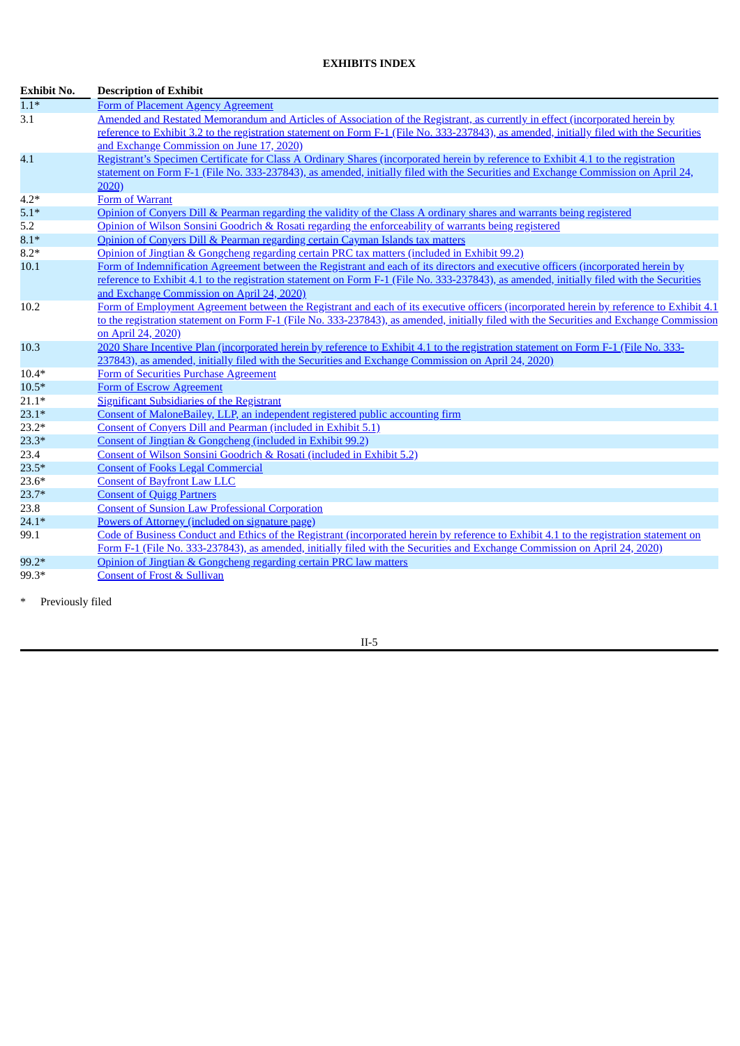# **EXHIBITS INDEX**

| $1.1*$<br>Form of Placement Agency Agreement<br>Amended and Restated Memorandum and Articles of Association of the Registrant, as currently in effect (incorporated herein by<br>3.1<br>reference to Exhibit 3.2 to the registration statement on Form F-1 (File No. 333-237843), as amended, initially filed with the Securities<br>and Exchange Commission on June 17, 2020)<br>Registrant's Specimen Certificate for Class A Ordinary Shares (incorporated herein by reference to Exhibit 4.1 to the registration<br>4.1<br>statement on Form F-1 (File No. 333-237843), as amended, initially filed with the Securities and Exchange Commission on April 24,<br>2020<br>Form of Warrant<br>$4.2*$<br>Opinion of Convers Dill & Pearman regarding the validity of the Class A ordinary shares and warrants being registered<br>$5.1*$<br>Opinion of Wilson Sonsini Goodrich & Rosati regarding the enforceability of warrants being registered<br>5.2<br>Opinion of Conyers Dill & Pearman regarding certain Cayman Islands tax matters<br>$8.1*$<br>Opinion of Jingtian & Gongcheng regarding certain PRC tax matters (included in Exhibit 99.2)<br>$8.2*$<br>Form of Indemnification Agreement between the Registrant and each of its directors and executive officers (incorporated herein by<br>10.1<br>reference to Exhibit 4.1 to the registration statement on Form F-1 (File No. 333-237843), as amended, initially filed with the Securities<br>and Exchange Commission on April 24, 2020)<br>Form of Employment Agreement between the Registrant and each of its executive officers (incorporated herein by reference to Exhibit 4.1<br>10.2<br>to the registration statement on Form F-1 (File No. 333-237843), as amended, initially filed with the Securities and Exchange Commission<br>on April 24, 2020)<br>10.3<br>2020 Share Incentive Plan (incorporated herein by reference to Exhibit 4.1 to the registration statement on Form F-1 (File No. 333-<br>237843), as amended, initially filed with the Securities and Exchange Commission on April 24, 2020)<br>Form of Securities Purchase Agreement<br>$10.4*$<br><b>Form of Escrow Agreement</b><br>$10.5*$<br><b>Significant Subsidiaries of the Registrant</b><br>$21.1*$<br>Consent of MaloneBailey, LLP, an independent registered public accounting firm<br>$23.1*$<br>Consent of Conyers Dill and Pearman (included in Exhibit 5.1)<br>$23.2*$<br>$23.3*$<br>Consent of Jingtian & Gongcheng (included in Exhibit 99.2)<br>23.4<br>Consent of Wilson Sonsini Goodrich & Rosati (included in Exhibit 5.2)<br>$23.5*$<br><b>Consent of Fooks Legal Commercial</b><br>$23.6*$<br><b>Consent of Bayfront Law LLC</b><br>$23.7*$<br><b>Consent of Quigg Partners</b><br>23.8<br><b>Consent of Sunsion Law Professional Corporation</b><br>Powers of Attorney (included on signature page)<br>$24.1*$<br>Code of Business Conduct and Ethics of the Registrant (incorporated herein by reference to Exhibit 4.1 to the registration statement on<br>99.1<br>Form F-1 (File No. 333-237843), as amended, initially filed with the Securities and Exchange Commission on April 24, 2020).<br>99.2*<br>Opinion of Jingtian & Gongcheng regarding certain PRC law matters<br><b>Consent of Frost &amp; Sullivan</b><br>99.3* | <b>Exhibit No.</b> | <b>Description of Exhibit</b> |
|--------------------------------------------------------------------------------------------------------------------------------------------------------------------------------------------------------------------------------------------------------------------------------------------------------------------------------------------------------------------------------------------------------------------------------------------------------------------------------------------------------------------------------------------------------------------------------------------------------------------------------------------------------------------------------------------------------------------------------------------------------------------------------------------------------------------------------------------------------------------------------------------------------------------------------------------------------------------------------------------------------------------------------------------------------------------------------------------------------------------------------------------------------------------------------------------------------------------------------------------------------------------------------------------------------------------------------------------------------------------------------------------------------------------------------------------------------------------------------------------------------------------------------------------------------------------------------------------------------------------------------------------------------------------------------------------------------------------------------------------------------------------------------------------------------------------------------------------------------------------------------------------------------------------------------------------------------------------------------------------------------------------------------------------------------------------------------------------------------------------------------------------------------------------------------------------------------------------------------------------------------------------------------------------------------------------------------------------------------------------------------------------------------------------------------------------------------------------------------------------------------------------------------------------------------------------------------------------------------------------------------------------------------------------------------------------------------------------------------------------------------------------------------------------------------------------------------------------------------------------------------------------------------------------------------------------------------------------------------------------------------------------------------------------------------------------------------------------------------------------------------------------------------------------------------------------------------------------------------------------------------------------------------------------------|--------------------|-------------------------------|
|                                                                                                                                                                                                                                                                                                                                                                                                                                                                                                                                                                                                                                                                                                                                                                                                                                                                                                                                                                                                                                                                                                                                                                                                                                                                                                                                                                                                                                                                                                                                                                                                                                                                                                                                                                                                                                                                                                                                                                                                                                                                                                                                                                                                                                                                                                                                                                                                                                                                                                                                                                                                                                                                                                                                                                                                                                                                                                                                                                                                                                                                                                                                                                                                                                                                                                  |                    |                               |
|                                                                                                                                                                                                                                                                                                                                                                                                                                                                                                                                                                                                                                                                                                                                                                                                                                                                                                                                                                                                                                                                                                                                                                                                                                                                                                                                                                                                                                                                                                                                                                                                                                                                                                                                                                                                                                                                                                                                                                                                                                                                                                                                                                                                                                                                                                                                                                                                                                                                                                                                                                                                                                                                                                                                                                                                                                                                                                                                                                                                                                                                                                                                                                                                                                                                                                  |                    |                               |
|                                                                                                                                                                                                                                                                                                                                                                                                                                                                                                                                                                                                                                                                                                                                                                                                                                                                                                                                                                                                                                                                                                                                                                                                                                                                                                                                                                                                                                                                                                                                                                                                                                                                                                                                                                                                                                                                                                                                                                                                                                                                                                                                                                                                                                                                                                                                                                                                                                                                                                                                                                                                                                                                                                                                                                                                                                                                                                                                                                                                                                                                                                                                                                                                                                                                                                  |                    |                               |
|                                                                                                                                                                                                                                                                                                                                                                                                                                                                                                                                                                                                                                                                                                                                                                                                                                                                                                                                                                                                                                                                                                                                                                                                                                                                                                                                                                                                                                                                                                                                                                                                                                                                                                                                                                                                                                                                                                                                                                                                                                                                                                                                                                                                                                                                                                                                                                                                                                                                                                                                                                                                                                                                                                                                                                                                                                                                                                                                                                                                                                                                                                                                                                                                                                                                                                  |                    |                               |
|                                                                                                                                                                                                                                                                                                                                                                                                                                                                                                                                                                                                                                                                                                                                                                                                                                                                                                                                                                                                                                                                                                                                                                                                                                                                                                                                                                                                                                                                                                                                                                                                                                                                                                                                                                                                                                                                                                                                                                                                                                                                                                                                                                                                                                                                                                                                                                                                                                                                                                                                                                                                                                                                                                                                                                                                                                                                                                                                                                                                                                                                                                                                                                                                                                                                                                  |                    |                               |
|                                                                                                                                                                                                                                                                                                                                                                                                                                                                                                                                                                                                                                                                                                                                                                                                                                                                                                                                                                                                                                                                                                                                                                                                                                                                                                                                                                                                                                                                                                                                                                                                                                                                                                                                                                                                                                                                                                                                                                                                                                                                                                                                                                                                                                                                                                                                                                                                                                                                                                                                                                                                                                                                                                                                                                                                                                                                                                                                                                                                                                                                                                                                                                                                                                                                                                  |                    |                               |
|                                                                                                                                                                                                                                                                                                                                                                                                                                                                                                                                                                                                                                                                                                                                                                                                                                                                                                                                                                                                                                                                                                                                                                                                                                                                                                                                                                                                                                                                                                                                                                                                                                                                                                                                                                                                                                                                                                                                                                                                                                                                                                                                                                                                                                                                                                                                                                                                                                                                                                                                                                                                                                                                                                                                                                                                                                                                                                                                                                                                                                                                                                                                                                                                                                                                                                  |                    |                               |
|                                                                                                                                                                                                                                                                                                                                                                                                                                                                                                                                                                                                                                                                                                                                                                                                                                                                                                                                                                                                                                                                                                                                                                                                                                                                                                                                                                                                                                                                                                                                                                                                                                                                                                                                                                                                                                                                                                                                                                                                                                                                                                                                                                                                                                                                                                                                                                                                                                                                                                                                                                                                                                                                                                                                                                                                                                                                                                                                                                                                                                                                                                                                                                                                                                                                                                  |                    |                               |
|                                                                                                                                                                                                                                                                                                                                                                                                                                                                                                                                                                                                                                                                                                                                                                                                                                                                                                                                                                                                                                                                                                                                                                                                                                                                                                                                                                                                                                                                                                                                                                                                                                                                                                                                                                                                                                                                                                                                                                                                                                                                                                                                                                                                                                                                                                                                                                                                                                                                                                                                                                                                                                                                                                                                                                                                                                                                                                                                                                                                                                                                                                                                                                                                                                                                                                  |                    |                               |
|                                                                                                                                                                                                                                                                                                                                                                                                                                                                                                                                                                                                                                                                                                                                                                                                                                                                                                                                                                                                                                                                                                                                                                                                                                                                                                                                                                                                                                                                                                                                                                                                                                                                                                                                                                                                                                                                                                                                                                                                                                                                                                                                                                                                                                                                                                                                                                                                                                                                                                                                                                                                                                                                                                                                                                                                                                                                                                                                                                                                                                                                                                                                                                                                                                                                                                  |                    |                               |
|                                                                                                                                                                                                                                                                                                                                                                                                                                                                                                                                                                                                                                                                                                                                                                                                                                                                                                                                                                                                                                                                                                                                                                                                                                                                                                                                                                                                                                                                                                                                                                                                                                                                                                                                                                                                                                                                                                                                                                                                                                                                                                                                                                                                                                                                                                                                                                                                                                                                                                                                                                                                                                                                                                                                                                                                                                                                                                                                                                                                                                                                                                                                                                                                                                                                                                  |                    |                               |
|                                                                                                                                                                                                                                                                                                                                                                                                                                                                                                                                                                                                                                                                                                                                                                                                                                                                                                                                                                                                                                                                                                                                                                                                                                                                                                                                                                                                                                                                                                                                                                                                                                                                                                                                                                                                                                                                                                                                                                                                                                                                                                                                                                                                                                                                                                                                                                                                                                                                                                                                                                                                                                                                                                                                                                                                                                                                                                                                                                                                                                                                                                                                                                                                                                                                                                  |                    |                               |
|                                                                                                                                                                                                                                                                                                                                                                                                                                                                                                                                                                                                                                                                                                                                                                                                                                                                                                                                                                                                                                                                                                                                                                                                                                                                                                                                                                                                                                                                                                                                                                                                                                                                                                                                                                                                                                                                                                                                                                                                                                                                                                                                                                                                                                                                                                                                                                                                                                                                                                                                                                                                                                                                                                                                                                                                                                                                                                                                                                                                                                                                                                                                                                                                                                                                                                  |                    |                               |
|                                                                                                                                                                                                                                                                                                                                                                                                                                                                                                                                                                                                                                                                                                                                                                                                                                                                                                                                                                                                                                                                                                                                                                                                                                                                                                                                                                                                                                                                                                                                                                                                                                                                                                                                                                                                                                                                                                                                                                                                                                                                                                                                                                                                                                                                                                                                                                                                                                                                                                                                                                                                                                                                                                                                                                                                                                                                                                                                                                                                                                                                                                                                                                                                                                                                                                  |                    |                               |
|                                                                                                                                                                                                                                                                                                                                                                                                                                                                                                                                                                                                                                                                                                                                                                                                                                                                                                                                                                                                                                                                                                                                                                                                                                                                                                                                                                                                                                                                                                                                                                                                                                                                                                                                                                                                                                                                                                                                                                                                                                                                                                                                                                                                                                                                                                                                                                                                                                                                                                                                                                                                                                                                                                                                                                                                                                                                                                                                                                                                                                                                                                                                                                                                                                                                                                  |                    |                               |
|                                                                                                                                                                                                                                                                                                                                                                                                                                                                                                                                                                                                                                                                                                                                                                                                                                                                                                                                                                                                                                                                                                                                                                                                                                                                                                                                                                                                                                                                                                                                                                                                                                                                                                                                                                                                                                                                                                                                                                                                                                                                                                                                                                                                                                                                                                                                                                                                                                                                                                                                                                                                                                                                                                                                                                                                                                                                                                                                                                                                                                                                                                                                                                                                                                                                                                  |                    |                               |
|                                                                                                                                                                                                                                                                                                                                                                                                                                                                                                                                                                                                                                                                                                                                                                                                                                                                                                                                                                                                                                                                                                                                                                                                                                                                                                                                                                                                                                                                                                                                                                                                                                                                                                                                                                                                                                                                                                                                                                                                                                                                                                                                                                                                                                                                                                                                                                                                                                                                                                                                                                                                                                                                                                                                                                                                                                                                                                                                                                                                                                                                                                                                                                                                                                                                                                  |                    |                               |
|                                                                                                                                                                                                                                                                                                                                                                                                                                                                                                                                                                                                                                                                                                                                                                                                                                                                                                                                                                                                                                                                                                                                                                                                                                                                                                                                                                                                                                                                                                                                                                                                                                                                                                                                                                                                                                                                                                                                                                                                                                                                                                                                                                                                                                                                                                                                                                                                                                                                                                                                                                                                                                                                                                                                                                                                                                                                                                                                                                                                                                                                                                                                                                                                                                                                                                  |                    |                               |
|                                                                                                                                                                                                                                                                                                                                                                                                                                                                                                                                                                                                                                                                                                                                                                                                                                                                                                                                                                                                                                                                                                                                                                                                                                                                                                                                                                                                                                                                                                                                                                                                                                                                                                                                                                                                                                                                                                                                                                                                                                                                                                                                                                                                                                                                                                                                                                                                                                                                                                                                                                                                                                                                                                                                                                                                                                                                                                                                                                                                                                                                                                                                                                                                                                                                                                  |                    |                               |
|                                                                                                                                                                                                                                                                                                                                                                                                                                                                                                                                                                                                                                                                                                                                                                                                                                                                                                                                                                                                                                                                                                                                                                                                                                                                                                                                                                                                                                                                                                                                                                                                                                                                                                                                                                                                                                                                                                                                                                                                                                                                                                                                                                                                                                                                                                                                                                                                                                                                                                                                                                                                                                                                                                                                                                                                                                                                                                                                                                                                                                                                                                                                                                                                                                                                                                  |                    |                               |
|                                                                                                                                                                                                                                                                                                                                                                                                                                                                                                                                                                                                                                                                                                                                                                                                                                                                                                                                                                                                                                                                                                                                                                                                                                                                                                                                                                                                                                                                                                                                                                                                                                                                                                                                                                                                                                                                                                                                                                                                                                                                                                                                                                                                                                                                                                                                                                                                                                                                                                                                                                                                                                                                                                                                                                                                                                                                                                                                                                                                                                                                                                                                                                                                                                                                                                  |                    |                               |
|                                                                                                                                                                                                                                                                                                                                                                                                                                                                                                                                                                                                                                                                                                                                                                                                                                                                                                                                                                                                                                                                                                                                                                                                                                                                                                                                                                                                                                                                                                                                                                                                                                                                                                                                                                                                                                                                                                                                                                                                                                                                                                                                                                                                                                                                                                                                                                                                                                                                                                                                                                                                                                                                                                                                                                                                                                                                                                                                                                                                                                                                                                                                                                                                                                                                                                  |                    |                               |
|                                                                                                                                                                                                                                                                                                                                                                                                                                                                                                                                                                                                                                                                                                                                                                                                                                                                                                                                                                                                                                                                                                                                                                                                                                                                                                                                                                                                                                                                                                                                                                                                                                                                                                                                                                                                                                                                                                                                                                                                                                                                                                                                                                                                                                                                                                                                                                                                                                                                                                                                                                                                                                                                                                                                                                                                                                                                                                                                                                                                                                                                                                                                                                                                                                                                                                  |                    |                               |
|                                                                                                                                                                                                                                                                                                                                                                                                                                                                                                                                                                                                                                                                                                                                                                                                                                                                                                                                                                                                                                                                                                                                                                                                                                                                                                                                                                                                                                                                                                                                                                                                                                                                                                                                                                                                                                                                                                                                                                                                                                                                                                                                                                                                                                                                                                                                                                                                                                                                                                                                                                                                                                                                                                                                                                                                                                                                                                                                                                                                                                                                                                                                                                                                                                                                                                  |                    |                               |
|                                                                                                                                                                                                                                                                                                                                                                                                                                                                                                                                                                                                                                                                                                                                                                                                                                                                                                                                                                                                                                                                                                                                                                                                                                                                                                                                                                                                                                                                                                                                                                                                                                                                                                                                                                                                                                                                                                                                                                                                                                                                                                                                                                                                                                                                                                                                                                                                                                                                                                                                                                                                                                                                                                                                                                                                                                                                                                                                                                                                                                                                                                                                                                                                                                                                                                  |                    |                               |
|                                                                                                                                                                                                                                                                                                                                                                                                                                                                                                                                                                                                                                                                                                                                                                                                                                                                                                                                                                                                                                                                                                                                                                                                                                                                                                                                                                                                                                                                                                                                                                                                                                                                                                                                                                                                                                                                                                                                                                                                                                                                                                                                                                                                                                                                                                                                                                                                                                                                                                                                                                                                                                                                                                                                                                                                                                                                                                                                                                                                                                                                                                                                                                                                                                                                                                  |                    |                               |
|                                                                                                                                                                                                                                                                                                                                                                                                                                                                                                                                                                                                                                                                                                                                                                                                                                                                                                                                                                                                                                                                                                                                                                                                                                                                                                                                                                                                                                                                                                                                                                                                                                                                                                                                                                                                                                                                                                                                                                                                                                                                                                                                                                                                                                                                                                                                                                                                                                                                                                                                                                                                                                                                                                                                                                                                                                                                                                                                                                                                                                                                                                                                                                                                                                                                                                  |                    |                               |
|                                                                                                                                                                                                                                                                                                                                                                                                                                                                                                                                                                                                                                                                                                                                                                                                                                                                                                                                                                                                                                                                                                                                                                                                                                                                                                                                                                                                                                                                                                                                                                                                                                                                                                                                                                                                                                                                                                                                                                                                                                                                                                                                                                                                                                                                                                                                                                                                                                                                                                                                                                                                                                                                                                                                                                                                                                                                                                                                                                                                                                                                                                                                                                                                                                                                                                  |                    |                               |
|                                                                                                                                                                                                                                                                                                                                                                                                                                                                                                                                                                                                                                                                                                                                                                                                                                                                                                                                                                                                                                                                                                                                                                                                                                                                                                                                                                                                                                                                                                                                                                                                                                                                                                                                                                                                                                                                                                                                                                                                                                                                                                                                                                                                                                                                                                                                                                                                                                                                                                                                                                                                                                                                                                                                                                                                                                                                                                                                                                                                                                                                                                                                                                                                                                                                                                  |                    |                               |
|                                                                                                                                                                                                                                                                                                                                                                                                                                                                                                                                                                                                                                                                                                                                                                                                                                                                                                                                                                                                                                                                                                                                                                                                                                                                                                                                                                                                                                                                                                                                                                                                                                                                                                                                                                                                                                                                                                                                                                                                                                                                                                                                                                                                                                                                                                                                                                                                                                                                                                                                                                                                                                                                                                                                                                                                                                                                                                                                                                                                                                                                                                                                                                                                                                                                                                  |                    |                               |
|                                                                                                                                                                                                                                                                                                                                                                                                                                                                                                                                                                                                                                                                                                                                                                                                                                                                                                                                                                                                                                                                                                                                                                                                                                                                                                                                                                                                                                                                                                                                                                                                                                                                                                                                                                                                                                                                                                                                                                                                                                                                                                                                                                                                                                                                                                                                                                                                                                                                                                                                                                                                                                                                                                                                                                                                                                                                                                                                                                                                                                                                                                                                                                                                                                                                                                  |                    |                               |
|                                                                                                                                                                                                                                                                                                                                                                                                                                                                                                                                                                                                                                                                                                                                                                                                                                                                                                                                                                                                                                                                                                                                                                                                                                                                                                                                                                                                                                                                                                                                                                                                                                                                                                                                                                                                                                                                                                                                                                                                                                                                                                                                                                                                                                                                                                                                                                                                                                                                                                                                                                                                                                                                                                                                                                                                                                                                                                                                                                                                                                                                                                                                                                                                                                                                                                  |                    |                               |
|                                                                                                                                                                                                                                                                                                                                                                                                                                                                                                                                                                                                                                                                                                                                                                                                                                                                                                                                                                                                                                                                                                                                                                                                                                                                                                                                                                                                                                                                                                                                                                                                                                                                                                                                                                                                                                                                                                                                                                                                                                                                                                                                                                                                                                                                                                                                                                                                                                                                                                                                                                                                                                                                                                                                                                                                                                                                                                                                                                                                                                                                                                                                                                                                                                                                                                  |                    |                               |
|                                                                                                                                                                                                                                                                                                                                                                                                                                                                                                                                                                                                                                                                                                                                                                                                                                                                                                                                                                                                                                                                                                                                                                                                                                                                                                                                                                                                                                                                                                                                                                                                                                                                                                                                                                                                                                                                                                                                                                                                                                                                                                                                                                                                                                                                                                                                                                                                                                                                                                                                                                                                                                                                                                                                                                                                                                                                                                                                                                                                                                                                                                                                                                                                                                                                                                  |                    |                               |
|                                                                                                                                                                                                                                                                                                                                                                                                                                                                                                                                                                                                                                                                                                                                                                                                                                                                                                                                                                                                                                                                                                                                                                                                                                                                                                                                                                                                                                                                                                                                                                                                                                                                                                                                                                                                                                                                                                                                                                                                                                                                                                                                                                                                                                                                                                                                                                                                                                                                                                                                                                                                                                                                                                                                                                                                                                                                                                                                                                                                                                                                                                                                                                                                                                                                                                  |                    |                               |
|                                                                                                                                                                                                                                                                                                                                                                                                                                                                                                                                                                                                                                                                                                                                                                                                                                                                                                                                                                                                                                                                                                                                                                                                                                                                                                                                                                                                                                                                                                                                                                                                                                                                                                                                                                                                                                                                                                                                                                                                                                                                                                                                                                                                                                                                                                                                                                                                                                                                                                                                                                                                                                                                                                                                                                                                                                                                                                                                                                                                                                                                                                                                                                                                                                                                                                  |                    |                               |

\* Previously filed

II-5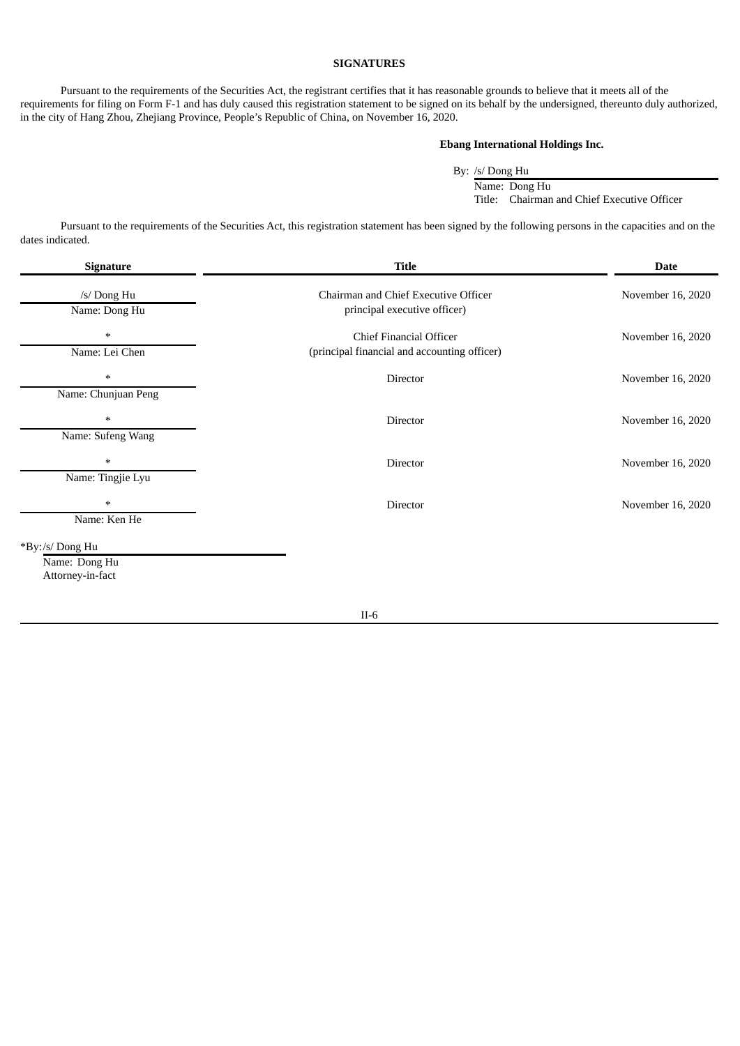## **SIGNATURES**

<span id="page-8-0"></span>Pursuant to the requirements of the Securities Act, the registrant certifies that it has reasonable grounds to believe that it meets all of the requirements for filing on Form F-1 and has duly caused this registration statement to be signed on its behalf by the undersigned, thereunto duly authorized, in the city of Hang Zhou, Zhejiang Province, People's Republic of China, on November 16, 2020.

# **Ebang International Holdings Inc.**

By: /s/ Dong Hu Name: Dong Hu Title: Chairman and Chief Executive Officer

Pursuant to the requirements of the Securities Act, this registration statement has been signed by the following persons in the capacities and on the dates indicated.

| Signature                                            | <b>Title</b>                                                            | <b>Date</b>       |
|------------------------------------------------------|-------------------------------------------------------------------------|-------------------|
| /s/ Dong Hu<br>Name: Dong Hu                         | Chairman and Chief Executive Officer<br>principal executive officer)    | November 16, 2020 |
| $\ast$<br>Name: Lei Chen                             | Chief Financial Officer<br>(principal financial and accounting officer) | November 16, 2020 |
| $\ast$<br>Name: Chunjuan Peng                        | Director                                                                | November 16, 2020 |
| $\ast$<br>Name: Sufeng Wang                          | Director                                                                | November 16, 2020 |
| $\ast$<br>Name: Tingjie Lyu                          | Director                                                                | November 16, 2020 |
| $\ast$<br>Name: Ken He                               | Director                                                                | November 16, 2020 |
| *By:/s/ Dong Hu<br>Name: Dong Hu<br>Attorney-in-fact |                                                                         |                   |
|                                                      | $II-6$                                                                  |                   |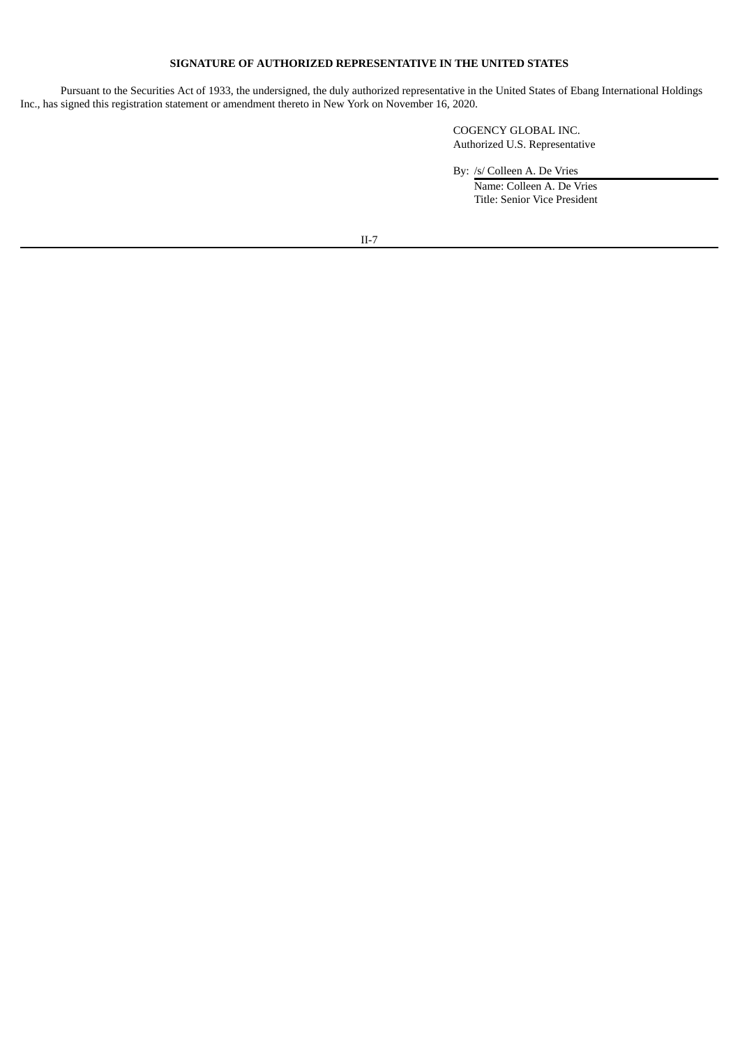# **SIGNATURE OF AUTHORIZED REPRESENTATIVE IN THE UNITED STATES**

Pursuant to the Securities Act of 1933, the undersigned, the duly authorized representative in the United States of Ebang International Holdings Inc., has signed this registration statement or amendment thereto in New York on November 16, 2020.

> COGENCY GLOBAL INC. Authorized U.S. Representative

By: /s/ Colleen A. De Vries

Name: Colleen A. De Vries Title: Senior Vice President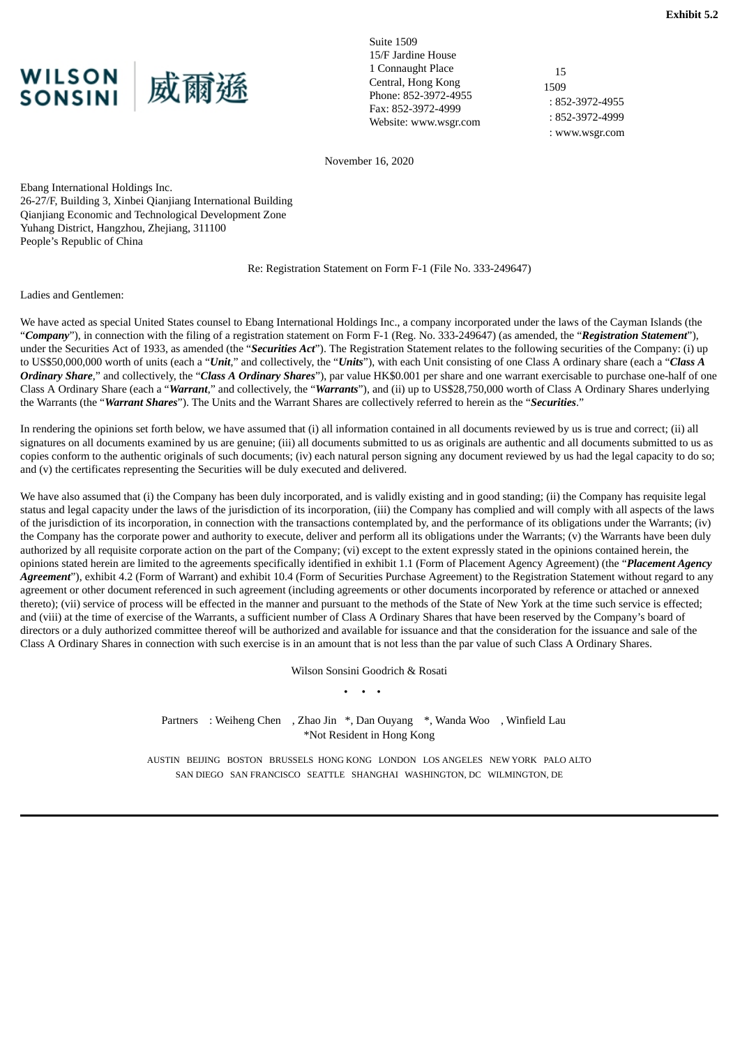<span id="page-10-0"></span>

Suite 1509 15/F Jardine House 1 Connaught Place Central, Hong Kong Phone: 852-3972-4955 Fax: 852-3972-4999 Website: www.wsgr.com

15 1509 : 852-3972-4955 : 852-3972-4999 : www.wsgr.com

November 16, 2020

Ebang International Holdings Inc. 26-27/F, Building 3, Xinbei Qianjiang International Building Qianjiang Economic and Technological Development Zone Yuhang District, Hangzhou, Zhejiang, 311100 People's Republic of China

Re: Registration Statement on Form F-1 (File No. 333-249647)

Ladies and Gentlemen:

We have acted as special United States counsel to Ebang International Holdings Inc., a company incorporated under the laws of the Cayman Islands (the "*Company*"), in connection with the filing of a registration statement on Form F-1 (Reg. No. 333-249647) (as amended, the "*Registration Statement*"), under the Securities Act of 1933, as amended (the "*Securities Act*"). The Registration Statement relates to the following securities of the Company: (i) up to US\$50,000,000 worth of units (each a "*Unit*," and collectively, the "*Units*"), with each Unit consisting of one Class A ordinary share (each a "*Class A Ordinary Share*," and collectively, the "*Class A Ordinary Shares*"), par value HK\$0.001 per share and one warrant exercisable to purchase one-half of one Class A Ordinary Share (each a "*Warrant*," and collectively, the "*Warrants*"), and (ii) up to US\$28,750,000 worth of Class A Ordinary Shares underlying the Warrants (the "*Warrant Shares*"). The Units and the Warrant Shares are collectively referred to herein as the "*Securities*."

In rendering the opinions set forth below, we have assumed that (i) all information contained in all documents reviewed by us is true and correct; (ii) all signatures on all documents examined by us are genuine; (iii) all documents submitted to us as originals are authentic and all documents submitted to us as copies conform to the authentic originals of such documents; (iv) each natural person signing any document reviewed by us had the legal capacity to do so; and (v) the certificates representing the Securities will be duly executed and delivered.

We have also assumed that (i) the Company has been duly incorporated, and is validly existing and in good standing; (ii) the Company has requisite legal status and legal capacity under the laws of the jurisdiction of its incorporation, (iii) the Company has complied and will comply with all aspects of the laws of the jurisdiction of its incorporation, in connection with the transactions contemplated by, and the performance of its obligations under the Warrants; (iv) the Company has the corporate power and authority to execute, deliver and perform all its obligations under the Warrants; (v) the Warrants have been duly authorized by all requisite corporate action on the part of the Company; (vi) except to the extent expressly stated in the opinions contained herein, the opinions stated herein are limited to the agreements specifically identified in exhibit 1.1 (Form of Placement Agency Agreement) (the "*Placement Agency Agreement*"), exhibit 4.2 (Form of Warrant) and exhibit 10.4 (Form of Securities Purchase Agreement) to the Registration Statement without regard to any agreement or other document referenced in such agreement (including agreements or other documents incorporated by reference or attached or annexed thereto); (vii) service of process will be effected in the manner and pursuant to the methods of the State of New York at the time such service is effected; and (viii) at the time of exercise of the Warrants, a sufficient number of Class A Ordinary Shares that have been reserved by the Company's board of directors or a duly authorized committee thereof will be authorized and available for issuance and that the consideration for the issuance and sale of the Class A Ordinary Shares in connection with such exercise is in an amount that is not less than the par value of such Class A Ordinary Shares.

> Wilson Sonsini Goodrich & Rosati • • •

Partners : Weiheng Chen , Zhao Jin \*, Dan Ouyang \*, Wanda Woo , Winfield Lau \*Not Resident in Hong Kong

AUSTIN BEIJING BOSTON BRUSSELS HONG KONG LONDON LOS ANGELES NEW YORK PALO ALTO SAN DIEGO SAN FRANCISCO SEATTLE SHANGHAI WASHINGTON, DC WILMINGTON, DE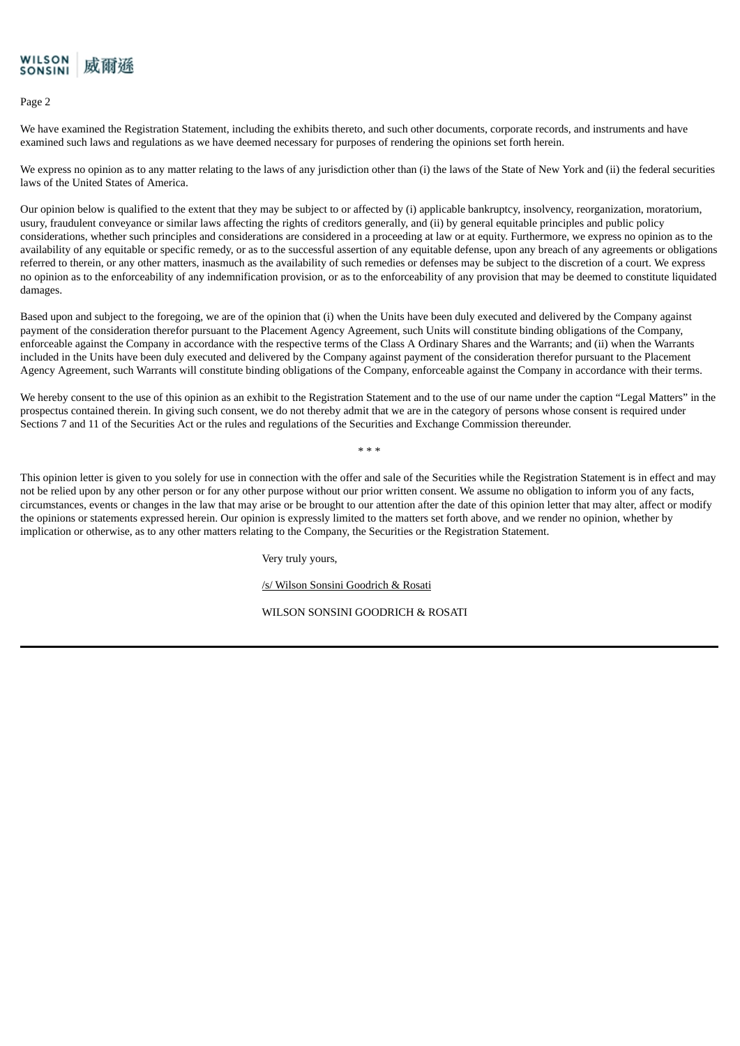

Page 2

We have examined the Registration Statement, including the exhibits thereto, and such other documents, corporate records, and instruments and have examined such laws and regulations as we have deemed necessary for purposes of rendering the opinions set forth herein.

We express no opinion as to any matter relating to the laws of any jurisdiction other than (i) the laws of the State of New York and (ii) the federal securities laws of the United States of America.

Our opinion below is qualified to the extent that they may be subject to or affected by (i) applicable bankruptcy, insolvency, reorganization, moratorium, usury, fraudulent conveyance or similar laws affecting the rights of creditors generally, and (ii) by general equitable principles and public policy considerations, whether such principles and considerations are considered in a proceeding at law or at equity. Furthermore, we express no opinion as to the availability of any equitable or specific remedy, or as to the successful assertion of any equitable defense, upon any breach of any agreements or obligations referred to therein, or any other matters, inasmuch as the availability of such remedies or defenses may be subject to the discretion of a court. We express no opinion as to the enforceability of any indemnification provision, or as to the enforceability of any provision that may be deemed to constitute liquidated damages.

Based upon and subject to the foregoing, we are of the opinion that (i) when the Units have been duly executed and delivered by the Company against payment of the consideration therefor pursuant to the Placement Agency Agreement, such Units will constitute binding obligations of the Company, enforceable against the Company in accordance with the respective terms of the Class A Ordinary Shares and the Warrants; and (ii) when the Warrants included in the Units have been duly executed and delivered by the Company against payment of the consideration therefor pursuant to the Placement Agency Agreement, such Warrants will constitute binding obligations of the Company, enforceable against the Company in accordance with their terms.

We hereby consent to the use of this opinion as an exhibit to the Registration Statement and to the use of our name under the caption "Legal Matters" in the prospectus contained therein. In giving such consent, we do not thereby admit that we are in the category of persons whose consent is required under Sections 7 and 11 of the Securities Act or the rules and regulations of the Securities and Exchange Commission thereunder.

\* \* \*

This opinion letter is given to you solely for use in connection with the offer and sale of the Securities while the Registration Statement is in effect and may not be relied upon by any other person or for any other purpose without our prior written consent. We assume no obligation to inform you of any facts, circumstances, events or changes in the law that may arise or be brought to our attention after the date of this opinion letter that may alter, affect or modify the opinions or statements expressed herein. Our opinion is expressly limited to the matters set forth above, and we render no opinion, whether by implication or otherwise, as to any other matters relating to the Company, the Securities or the Registration Statement.

Very truly yours,

/s/ Wilson Sonsini Goodrich & Rosati

WILSON SONSINI GOODRICH & ROSATI